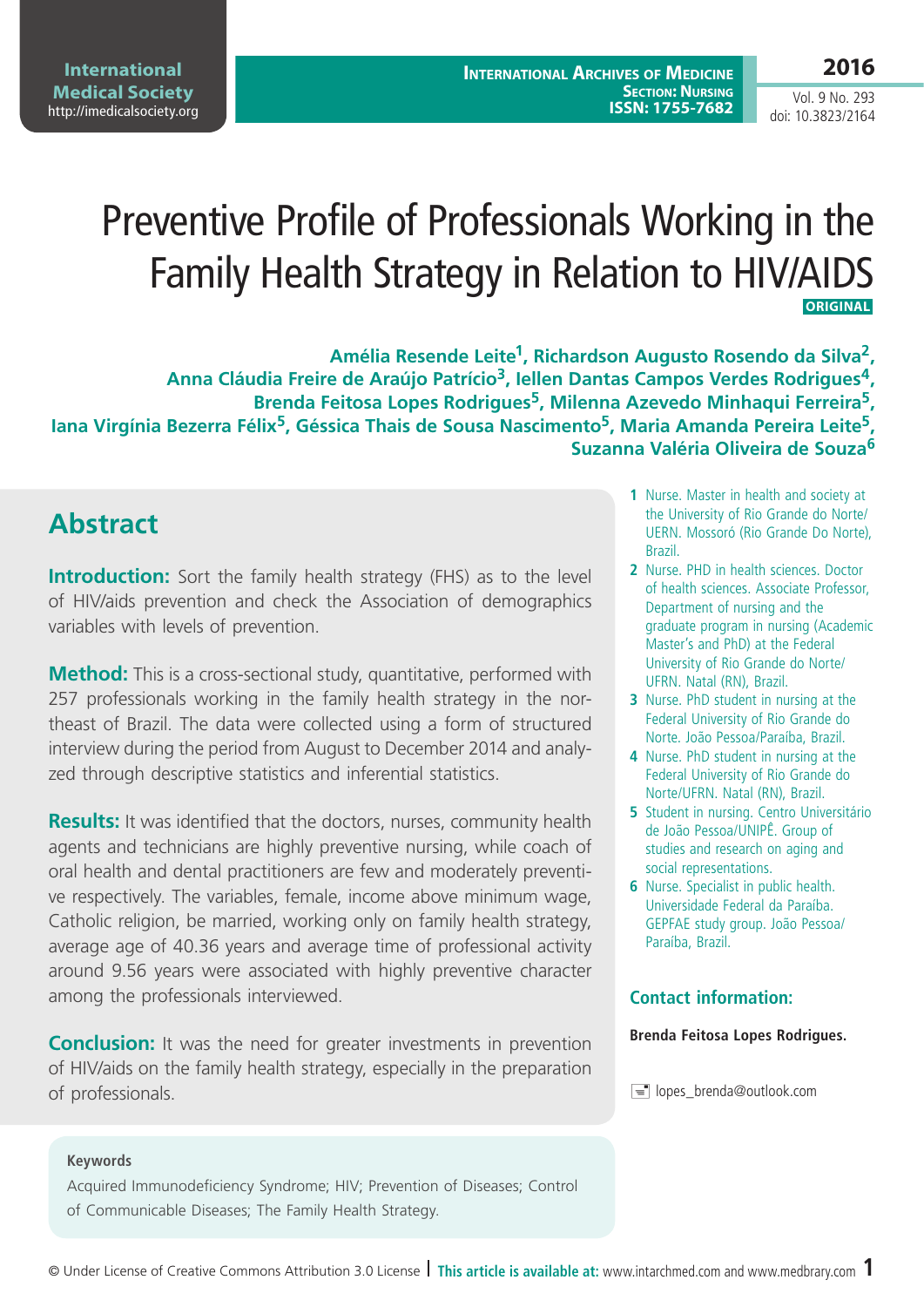# Preventive Profile of Professionals Working in the Family Health Strategy in Relation to HIV/AIDS **ORIGINAL**

**Amélia Resende Leite1, Richardson Augusto Rosendo da Silva2, Anna Cláudia Freire de Araújo Patrício3, Iellen Dantas Campos Verdes Rodrigues4, Brenda Feitosa Lopes Rodrigues5, Milenna Azevedo Minhaqui Ferreira5, Iana Virgínia Bezerra Félix5, Géssica Thais de Sousa Nascimento5, Maria Amanda Pereira Leite5, Suzanna Valéria Oliveira de Souza<sup>6</sup>**

# **Abstract**

**Introduction:** Sort the family health strategy (FHS) as to the level of HIV/aids prevention and check the Association of demographics variables with levels of prevention.

**Method:** This is a cross-sectional study, quantitative, performed with 257 professionals working in the family health strategy in the northeast of Brazil. The data were collected using a form of structured interview during the period from August to December 2014 and analyzed through descriptive statistics and inferential statistics.

**Results:** It was identified that the doctors, nurses, community health agents and technicians are highly preventive nursing, while coach of oral health and dental practitioners are few and moderately preventive respectively. The variables, female, income above minimum wage, Catholic religion, be married, working only on family health strategy, average age of 40.36 years and average time of professional activity around 9.56 years were associated with highly preventive character among the professionals interviewed.

**Conclusion:** It was the need for greater investments in prevention of HIV/aids on the family health strategy, especially in the preparation of professionals.

- **1** Nurse. Master in health and society at the University of Rio Grande do Norte/ UERN. Mossoró (Rio Grande Do Norte), Brazil.
- **2** Nurse. PHD in health sciences. Doctor of health sciences. Associate Professor, Department of nursing and the graduate program in nursing (Academic Master's and PhD) at the Federal University of Rio Grande do Norte/ UFRN. Natal (RN), Brazil.
- **3** Nurse. PhD student in nursing at the Federal University of Rio Grande do Norte. João Pessoa/Paraíba, Brazil.
- **4** Nurse. PhD student in nursing at the Federal University of Rio Grande do Norte/UFRN. Natal (RN), Brazil.
- **5** Student in nursing. Centro Universitário de João Pessoa/UNIPÊ. Group of studies and research on aging and social representations.
- **6** Nurse. Specialist in public health. Universidade Federal da Paraíba. GEPFAE study group. João Pessoa/ Paraíba, Brazil.

#### **Contact information:**

#### **Brenda Feitosa Lopes Rodrigues.**

lopes\_brenda@outlook.com

#### **Keywords**

Acquired Immunodeficiency Syndrome; HIV; Prevention of Diseases; Control of Communicable Diseases; The Family Health Strategy.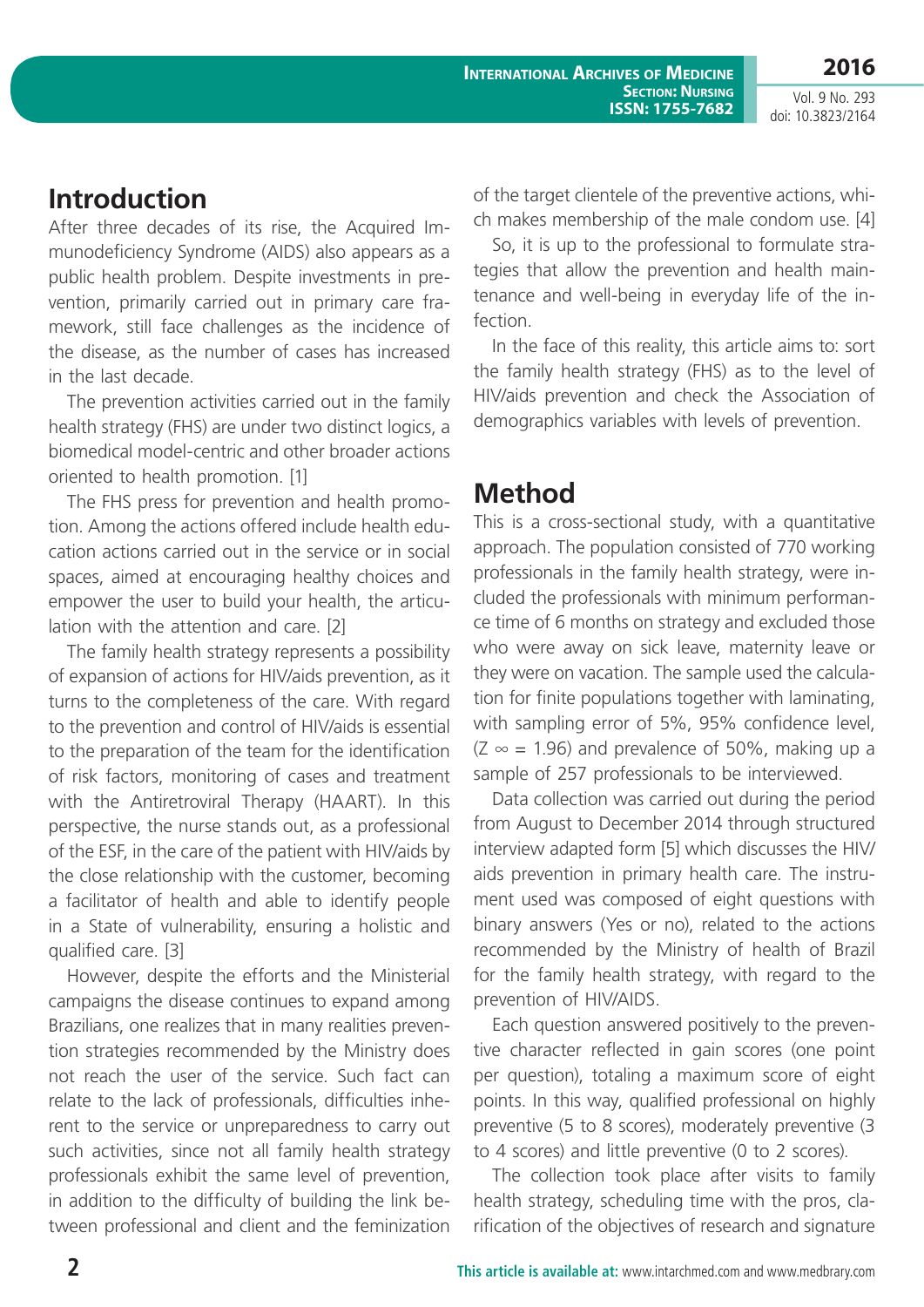## **Introduction**

After three decades of its rise, the Acquired Immunodeficiency Syndrome (AIDS) also appears as a public health problem. Despite investments in prevention, primarily carried out in primary care framework, still face challenges as the incidence of the disease, as the number of cases has increased in the last decade.

The prevention activities carried out in the family health strategy (FHS) are under two distinct logics, a biomedical model-centric and other broader actions oriented to health promotion. [1]

The FHS press for prevention and health promotion. Among the actions offered include health education actions carried out in the service or in social spaces, aimed at encouraging healthy choices and empower the user to build your health, the articulation with the attention and care. [2]

The family health strategy represents a possibility of expansion of actions for HIV/aids prevention, as it turns to the completeness of the care. With regard to the prevention and control of HIV/aids is essential to the preparation of the team for the identification of risk factors, monitoring of cases and treatment with the Antiretroviral Therapy (HAART). In this perspective, the nurse stands out, as a professional of the ESF, in the care of the patient with HIV/aids by the close relationship with the customer, becoming a facilitator of health and able to identify people in a State of vulnerability, ensuring a holistic and qualified care. [3]

However, despite the efforts and the Ministerial campaigns the disease continues to expand among Brazilians, one realizes that in many realities prevention strategies recommended by the Ministry does not reach the user of the service. Such fact can relate to the lack of professionals, difficulties inherent to the service or unpreparedness to carry out such activities, since not all family health strategy professionals exhibit the same level of prevention, in addition to the difficulty of building the link between professional and client and the feminization of the target clientele of the preventive actions, which makes membership of the male condom use. [4]

So, it is up to the professional to formulate strategies that allow the prevention and health maintenance and well-being in everyday life of the infection.

In the face of this reality, this article aims to: sort the family health strategy (FHS) as to the level of HIV/aids prevention and check the Association of demographics variables with levels of prevention.

## **Method**

This is a cross-sectional study, with a quantitative approach. The population consisted of 770 working professionals in the family health strategy, were included the professionals with minimum performance time of 6 months on strategy and excluded those who were away on sick leave, maternity leave or they were on vacation. The sample used the calculation for finite populations together with laminating, with sampling error of 5%, 95% confidence level,  $(Z \approx = 1.96)$  and prevalence of 50%, making up a sample of 257 professionals to be interviewed.

Data collection was carried out during the period from August to December 2014 through structured interview adapted form [5] which discusses the HIV/ aids prevention in primary health care. The instrument used was composed of eight questions with binary answers (Yes or no), related to the actions recommended by the Ministry of health of Brazil for the family health strategy, with regard to the prevention of HIV/AIDS.

Each question answered positively to the preventive character reflected in gain scores (one point per question), totaling a maximum score of eight points. In this way, qualified professional on highly preventive (5 to 8 scores), moderately preventive (3 to 4 scores) and little preventive (0 to 2 scores).

The collection took place after visits to family health strategy, scheduling time with the pros, clarification of the objectives of research and signature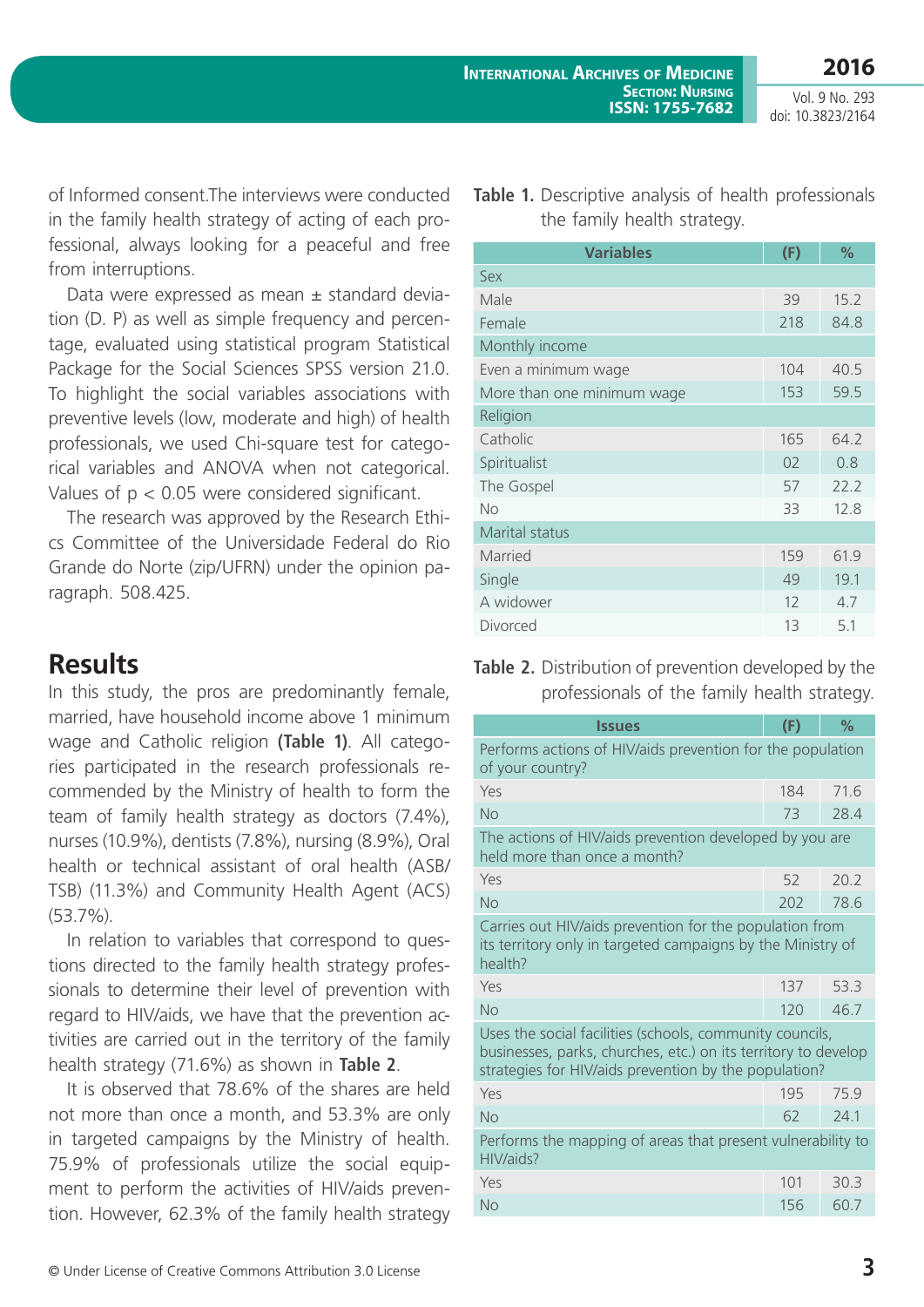**2016**

Vol. 9 No. 293 doi: 10.3823/2164

of Informed consent.The interviews were conducted in the family health strategy of acting of each professional, always looking for a peaceful and free from interruptions.

Data were expressed as mean ± standard deviation (D. P) as well as simple frequency and percentage, evaluated using statistical program Statistical Package for the Social Sciences SPSS version 21.0. To highlight the social variables associations with preventive levels (low, moderate and high) of health professionals, we used Chi-square test for categorical variables and ANOVA when not categorical. Values of p < 0.05 were considered significant.

The research was approved by the Research Ethics Committee of the Universidade Federal do Rio Grande do Norte (zip/UFRN) under the opinion paragraph. 508.425.

#### **Results**

In this study, the pros are predominantly female, married, have household income above 1 minimum wage and Catholic religion **(Table 1)**. All categories participated in the research professionals recommended by the Ministry of health to form the team of family health strategy as doctors (7.4%), nurses (10.9%), dentists (7.8%), nursing (8.9%), Oral health or technical assistant of oral health (ASB/ TSB) (11.3%) and Community Health Agent (ACS) (53.7%).

In relation to variables that correspond to questions directed to the family health strategy professionals to determine their level of prevention with regard to HIV/aids, we have that the prevention activities are carried out in the territory of the family health strategy (71.6%) as shown in **Table 2**.

It is observed that 78.6% of the shares are held not more than once a month, and 53.3% are only in targeted campaigns by the Ministry of health. 75.9% of professionals utilize the social equipment to perform the activities of HIV/aids prevention. However, 62.3% of the family health strategy

|  | <b>Table 1.</b> Descriptive analysis of health professionals |  |
|--|--------------------------------------------------------------|--|
|  | the family health strategy.                                  |  |

| <b>Variables</b>           | (F) | %    |  |  |
|----------------------------|-----|------|--|--|
| Sex                        |     |      |  |  |
| Male                       | 39  | 15.2 |  |  |
| Female                     | 218 | 84.8 |  |  |
| Monthly income             |     |      |  |  |
| Even a minimum wage        | 104 | 40.5 |  |  |
| More than one minimum wage | 153 | 59.5 |  |  |
| Religion                   |     |      |  |  |
| Catholic                   | 165 | 64.2 |  |  |
| Spiritualist               | 02  | 0.8  |  |  |
| The Gospel                 | 57  | 22.2 |  |  |
| <b>No</b>                  | 33  | 12.8 |  |  |
| <b>Marital status</b>      |     |      |  |  |
| Married                    | 159 | 61.9 |  |  |
| Single                     | 49  | 19.1 |  |  |
| A widower                  | 12  | 4.7  |  |  |
| Divorced                   | 13  | 5.1  |  |  |

**Table 2.** Distribution of prevention developed by the professionals of the family health strategy.

| <b>Issues</b>                                                                                                                                                                       | (F) | $\frac{1}{2}$ |  |  |
|-------------------------------------------------------------------------------------------------------------------------------------------------------------------------------------|-----|---------------|--|--|
| Performs actions of HIV/aids prevention for the population<br>of your country?                                                                                                      |     |               |  |  |
| Yes                                                                                                                                                                                 | 184 | 71.6          |  |  |
| No                                                                                                                                                                                  | 73  | 28.4          |  |  |
| The actions of HIV/aids prevention developed by you are<br>held more than once a month?                                                                                             |     |               |  |  |
| Yes                                                                                                                                                                                 | 52  | 20.2          |  |  |
| No                                                                                                                                                                                  | 202 | 78.6          |  |  |
| Carries out HIV/aids prevention for the population from<br>its territory only in targeted campaigns by the Ministry of<br>health?                                                   |     |               |  |  |
| Yes                                                                                                                                                                                 | 137 | 53.3          |  |  |
| No                                                                                                                                                                                  | 120 | 46.7          |  |  |
| Uses the social facilities (schools, community councils,<br>businesses, parks, churches, etc.) on its territory to develop<br>strategies for HIV/aids prevention by the population? |     |               |  |  |
| Yes                                                                                                                                                                                 | 195 | 75.9          |  |  |
| No                                                                                                                                                                                  | 62  | 74.1          |  |  |
| Performs the mapping of areas that present vulnerability to<br>HIV/aids?                                                                                                            |     |               |  |  |
| Yes                                                                                                                                                                                 | 101 | 30.3          |  |  |
| No                                                                                                                                                                                  | 156 | 60.7          |  |  |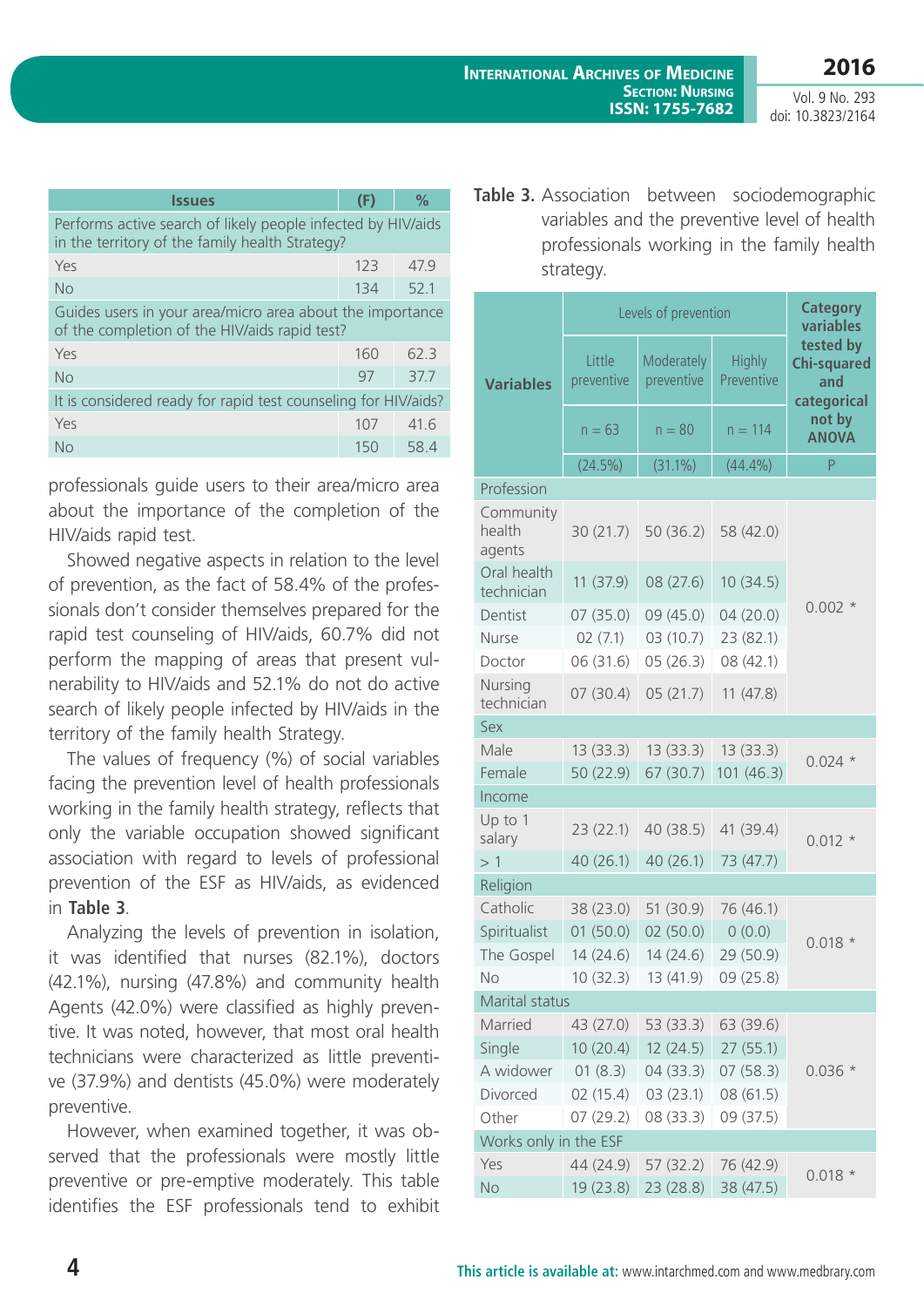| <b>Issues</b>                                                                                                   | (F) | ℅    |  |  |
|-----------------------------------------------------------------------------------------------------------------|-----|------|--|--|
| Performs active search of likely people infected by HIV/aids<br>in the territory of the family health Strategy? |     |      |  |  |
| Yes                                                                                                             | 123 | 47.9 |  |  |
| No                                                                                                              | 134 | 52.1 |  |  |
| Guides users in your area/micro area about the importance<br>of the completion of the HIV/aids rapid test?      |     |      |  |  |
| Yes                                                                                                             | 160 | 62.3 |  |  |
| <b>No</b>                                                                                                       | 97  | 37.7 |  |  |
| It is considered ready for rapid test counseling for HIV/aids?                                                  |     |      |  |  |
| Yes                                                                                                             | 107 | 41.6 |  |  |
| No                                                                                                              | 150 | 58.4 |  |  |

professionals guide users to their area/micro area about the importance of the completion of the HIV/aids rapid test.

Showed negative aspects in relation to the level of prevention, as the fact of 58.4% of the professionals don't consider themselves prepared for the rapid test counseling of HIV/aids, 60.7% did not perform the mapping of areas that present vulnerability to HIV/aids and 52.1% do not do active search of likely people infected by HIV/aids in the territory of the family health Strategy.

The values of frequency (%) of social variables facing the prevention level of health professionals working in the family health strategy, reflects that only the variable occupation showed significant association with regard to levels of professional prevention of the ESF as HIV/aids, as evidenced in **Table 3**.

Analyzing the levels of prevention in isolation, it was identified that nurses (82.1%), doctors (42.1%), nursing (47.8%) and community health Agents (42.0%) were classified as highly preventive. It was noted, however, that most oral health technicians were characterized as little preventive (37.9%) and dentists (45.0%) were moderately preventive.

However, when examined together, it was observed that the professionals were mostly little preventive or pre-emptive moderately. This table identifies the ESF professionals tend to exhibit **Table 3.** Association between sociodemographic variables and the preventive level of health professionals working in the family health strategy.

|                                                        | Levels of prevention |                               |                             | <b>Category</b><br>variables                          |  |
|--------------------------------------------------------|----------------------|-------------------------------|-----------------------------|-------------------------------------------------------|--|
| <b>Variables</b>                                       | Little<br>preventive | Moderately<br>preventive      | <b>Highly</b><br>Preventive | tested by<br><b>Chi-squared</b><br>and<br>categorical |  |
|                                                        | $n = 63$             | $n = 80$                      | $n = 114$                   | not by<br><b>ANOVA</b>                                |  |
|                                                        | $(24.5\%)$           | $(31.1\%)$                    | (44.4%)                     | P                                                     |  |
| Profession                                             |                      |                               |                             |                                                       |  |
| Community<br>health<br>agents                          | 30(21.7)             | 50(36.2)                      | 58 (42.0)                   |                                                       |  |
| Oral health<br>technician                              | 11 (37.9)            | 08 (27.6)                     | 10(34.5)                    |                                                       |  |
| Dentist                                                | 07(35.0)             | 09 (45.0)                     | 04(20.0)                    | $0.002*$                                              |  |
| Nurse                                                  | 02(7.1)              | 03 (10.7)                     | 23 (82.1)                   |                                                       |  |
| Doctor                                                 | 06 (31.6)            | 05(26.3)                      | 08 (42.1)                   |                                                       |  |
| Nursing<br>technician                                  | 07(30.4)             | 05(21.7)                      | 11(47.8)                    |                                                       |  |
| Sex                                                    |                      |                               |                             |                                                       |  |
| Male                                                   | 13 (33.3)            | 13(33.3)                      | 13(33.3)                    | $0.024*$                                              |  |
| Female                                                 | 50 (22.9)            | 67 (30.7)                     | 101(46.3)                   |                                                       |  |
| Income                                                 |                      |                               |                             |                                                       |  |
| Up to 1<br>salary                                      | 23(22.1)             | 40 (38.5)                     | 41 (39.4)                   | $0.012 *$                                             |  |
| >1                                                     | 40 (26.1)            | 40(26.1)                      | 73 (47.7)                   |                                                       |  |
| Religion                                               |                      |                               |                             |                                                       |  |
| Catholic                                               | 38 (23.0)            | 51 (30.9)                     | 76 (46.1)                   |                                                       |  |
| Spiritualist                                           | 01(50.0)             | 02(50.0)                      | 0(0.0)                      | $0.018*$                                              |  |
| The Gospel                                             | 14 (24.6)            | 14 (24.6)                     | 29 (50.9)                   |                                                       |  |
| No                                                     |                      | 10 (32.3) 13 (41.9) 09 (25.8) |                             |                                                       |  |
| Marital status                                         |                      |                               |                             |                                                       |  |
| Married                                                | 43 (27.0)            |                               | 53 (33.3) 63 (39.6)         |                                                       |  |
| Single                                                 | 10(20.4)             | 12(24.5)                      | 27(55.1)                    |                                                       |  |
| A widower                                              | 01(8.3)              | 04(33.3)                      | 07(58.3)                    | $0.036*$                                              |  |
| Divorced                                               | 02(15.4)             | 03(23.1)                      | 08 (61.5)                   |                                                       |  |
| 09 (37.5)<br>Other<br>07(29.2)<br>08(33.3)             |                      |                               |                             |                                                       |  |
| Works only in the ESF<br>44 (24.9)<br>76 (42.9)<br>Yes |                      |                               |                             |                                                       |  |
| No                                                     | 19(23.8)             | 57(32.2)<br>23(28.8)          | 38 (47.5)                   | $0.018 *$                                             |  |
|                                                        |                      |                               |                             |                                                       |  |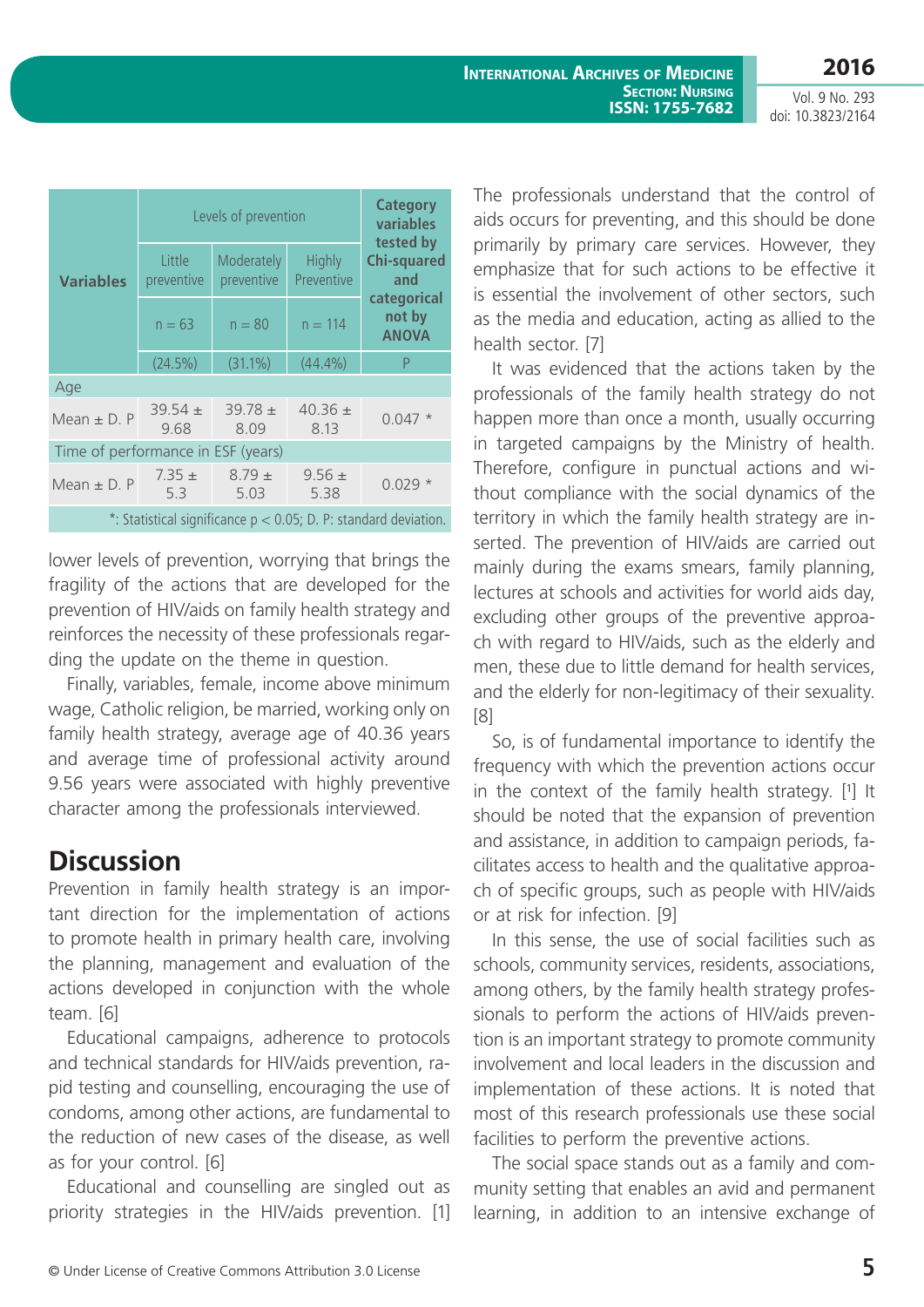|                                                                    | Levels of prevention |                          |                             | <b>Category</b><br>variables<br>tested by                          |  |
|--------------------------------------------------------------------|----------------------|--------------------------|-----------------------------|--------------------------------------------------------------------|--|
| <b>Variables</b>                                                   | Little<br>preventive | Moderately<br>preventive | <b>Highly</b><br>Preventive | <b>Chi-squared</b><br>and<br>categorical<br>not by<br><b>ANOVA</b> |  |
|                                                                    | $n = 63$             | $n = 80$                 | $n = 114$                   |                                                                    |  |
|                                                                    | $(24.5\%)$           | $(31.1\%)$               | (44.4%)                     | P                                                                  |  |
| Age                                                                |                      |                          |                             |                                                                    |  |
| Mean $\pm$ D. P                                                    | $39.54 \pm$<br>9.68  | $39.78 \pm$<br>8.09      | $40.36 \pm$<br>8.13         | $0.047*$                                                           |  |
| Time of performance in ESF (years)                                 |                      |                          |                             |                                                                    |  |
| Mean $\pm$ D. P                                                    | $7.35 \pm$<br>5.3    | $8.79 \pm$<br>5.03       | $9.56 \pm$<br>5.38          | $0.029*$                                                           |  |
| *: Statistical significance $p < 0.05$ ; D. P: standard deviation. |                      |                          |                             |                                                                    |  |

lower levels of prevention, worrying that brings the fragility of the actions that are developed for the prevention of HIV/aids on family health strategy and reinforces the necessity of these professionals regarding the update on the theme in question.

Finally, variables, female, income above minimum wage, Catholic religion, be married, working only on family health strategy, average age of 40.36 years and average time of professional activity around 9.56 years were associated with highly preventive character among the professionals interviewed.

## **Discussion**

Prevention in family health strategy is an important direction for the implementation of actions to promote health in primary health care, involving the planning, management and evaluation of the actions developed in conjunction with the whole team. [6]

Educational campaigns, adherence to protocols and technical standards for HIV/aids prevention, rapid testing and counselling, encouraging the use of condoms, among other actions, are fundamental to the reduction of new cases of the disease, as well as for your control. [6]

Educational and counselling are singled out as priority strategies in the HIV/aids prevention. [1] The professionals understand that the control of aids occurs for preventing, and this should be done primarily by primary care services. However, they emphasize that for such actions to be effective it is essential the involvement of other sectors, such as the media and education, acting as allied to the health sector. [7]

It was evidenced that the actions taken by the professionals of the family health strategy do not happen more than once a month, usually occurring in targeted campaigns by the Ministry of health. Therefore, configure in punctual actions and without compliance with the social dynamics of the territory in which the family health strategy are inserted. The prevention of HIV/aids are carried out mainly during the exams smears, family planning, lectures at schools and activities for world aids day, excluding other groups of the preventive approach with regard to HIV/aids, such as the elderly and men, these due to little demand for health services, and the elderly for non-legitimacy of their sexuality. [8]

So, is of fundamental importance to identify the frequency with which the prevention actions occur in the context of the family health strategy. [1] It should be noted that the expansion of prevention and assistance, in addition to campaign periods, facilitates access to health and the qualitative approach of specific groups, such as people with HIV/aids or at risk for infection. [9]

In this sense, the use of social facilities such as schools, community services, residents, associations, among others, by the family health strategy professionals to perform the actions of HIV/aids prevention is an important strategy to promote community involvement and local leaders in the discussion and implementation of these actions. It is noted that most of this research professionals use these social facilities to perform the preventive actions.

The social space stands out as a family and community setting that enables an avid and permanent learning, in addition to an intensive exchange of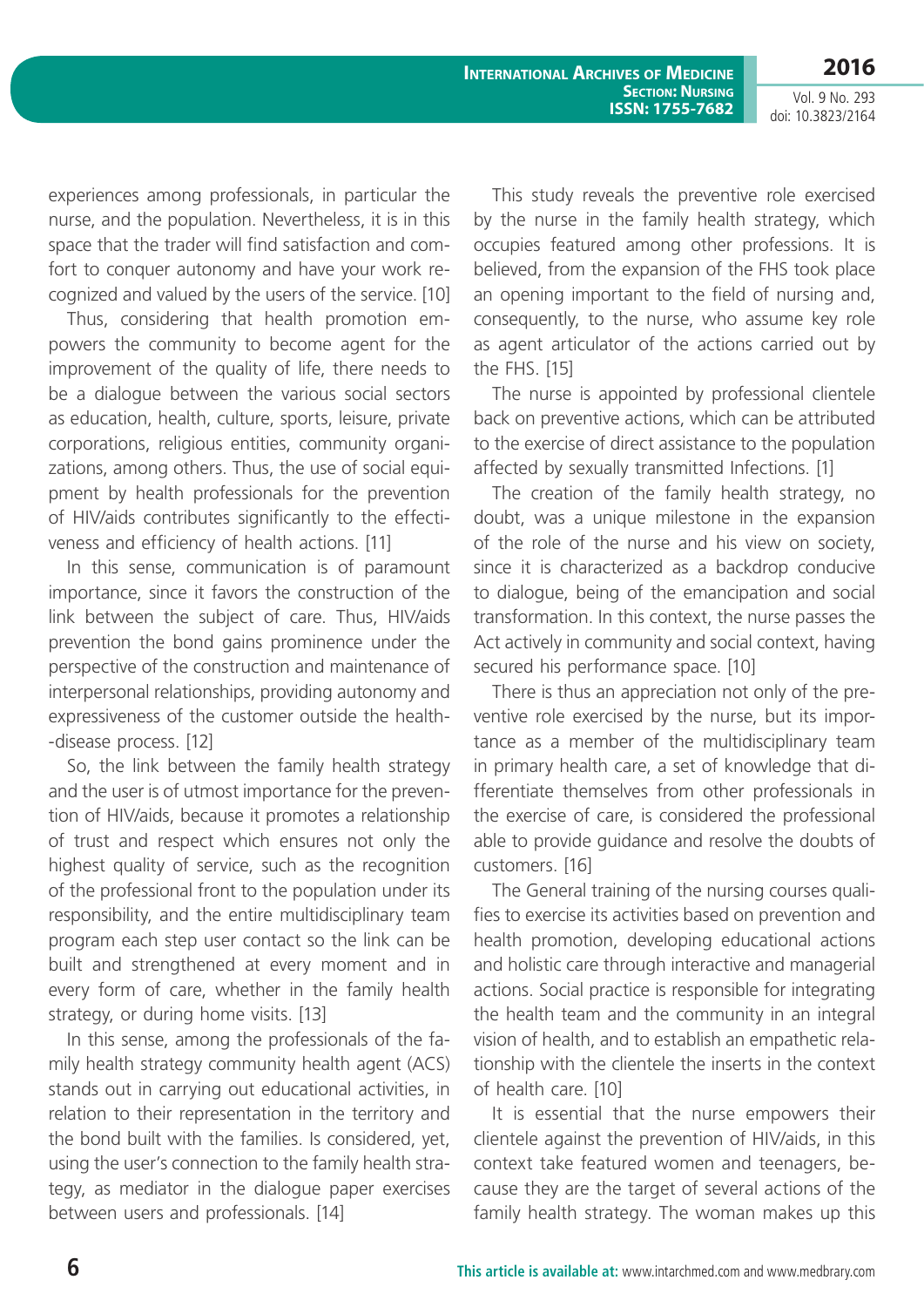**International Archives of Medicine SECTION: NURSING ISSN: 1755-7682**

**2016** Vol. 9 No. 293

doi: 10.3823/2164

experiences among professionals, in particular the nurse, and the population. Nevertheless, it is in this space that the trader will find satisfaction and comfort to conquer autonomy and have your work recognized and valued by the users of the service. [10]

Thus, considering that health promotion empowers the community to become agent for the improvement of the quality of life, there needs to be a dialogue between the various social sectors as education, health, culture, sports, leisure, private corporations, religious entities, community organizations, among others. Thus, the use of social equipment by health professionals for the prevention of HIV/aids contributes significantly to the effectiveness and efficiency of health actions. [11]

In this sense, communication is of paramount importance, since it favors the construction of the link between the subject of care. Thus, HIV/aids prevention the bond gains prominence under the perspective of the construction and maintenance of interpersonal relationships, providing autonomy and expressiveness of the customer outside the health- -disease process. [12]

So, the link between the family health strategy and the user is of utmost importance for the prevention of HIV/aids, because it promotes a relationship of trust and respect which ensures not only the highest quality of service, such as the recognition of the professional front to the population under its responsibility, and the entire multidisciplinary team program each step user contact so the link can be built and strengthened at every moment and in every form of care, whether in the family health strategy, or during home visits. [13]

In this sense, among the professionals of the family health strategy community health agent (ACS) stands out in carrying out educational activities, in relation to their representation in the territory and the bond built with the families. Is considered, yet, using the user's connection to the family health strategy, as mediator in the dialogue paper exercises between users and professionals. [14]

This study reveals the preventive role exercised by the nurse in the family health strategy, which occupies featured among other professions. It is believed, from the expansion of the FHS took place an opening important to the field of nursing and, consequently, to the nurse, who assume key role as agent articulator of the actions carried out by the FHS. [15]

The nurse is appointed by professional clientele back on preventive actions, which can be attributed to the exercise of direct assistance to the population affected by sexually transmitted Infections. [1]

The creation of the family health strategy, no doubt, was a unique milestone in the expansion of the role of the nurse and his view on society, since it is characterized as a backdrop conducive to dialogue, being of the emancipation and social transformation. In this context, the nurse passes the Act actively in community and social context, having secured his performance space. [10]

There is thus an appreciation not only of the preventive role exercised by the nurse, but its importance as a member of the multidisciplinary team in primary health care, a set of knowledge that differentiate themselves from other professionals in the exercise of care, is considered the professional able to provide guidance and resolve the doubts of customers. [16]

The General training of the nursing courses qualifies to exercise its activities based on prevention and health promotion, developing educational actions and holistic care through interactive and managerial actions. Social practice is responsible for integrating the health team and the community in an integral vision of health, and to establish an empathetic relationship with the clientele the inserts in the context of health care. [10]

It is essential that the nurse empowers their clientele against the prevention of HIV/aids, in this context take featured women and teenagers, because they are the target of several actions of the family health strategy. The woman makes up this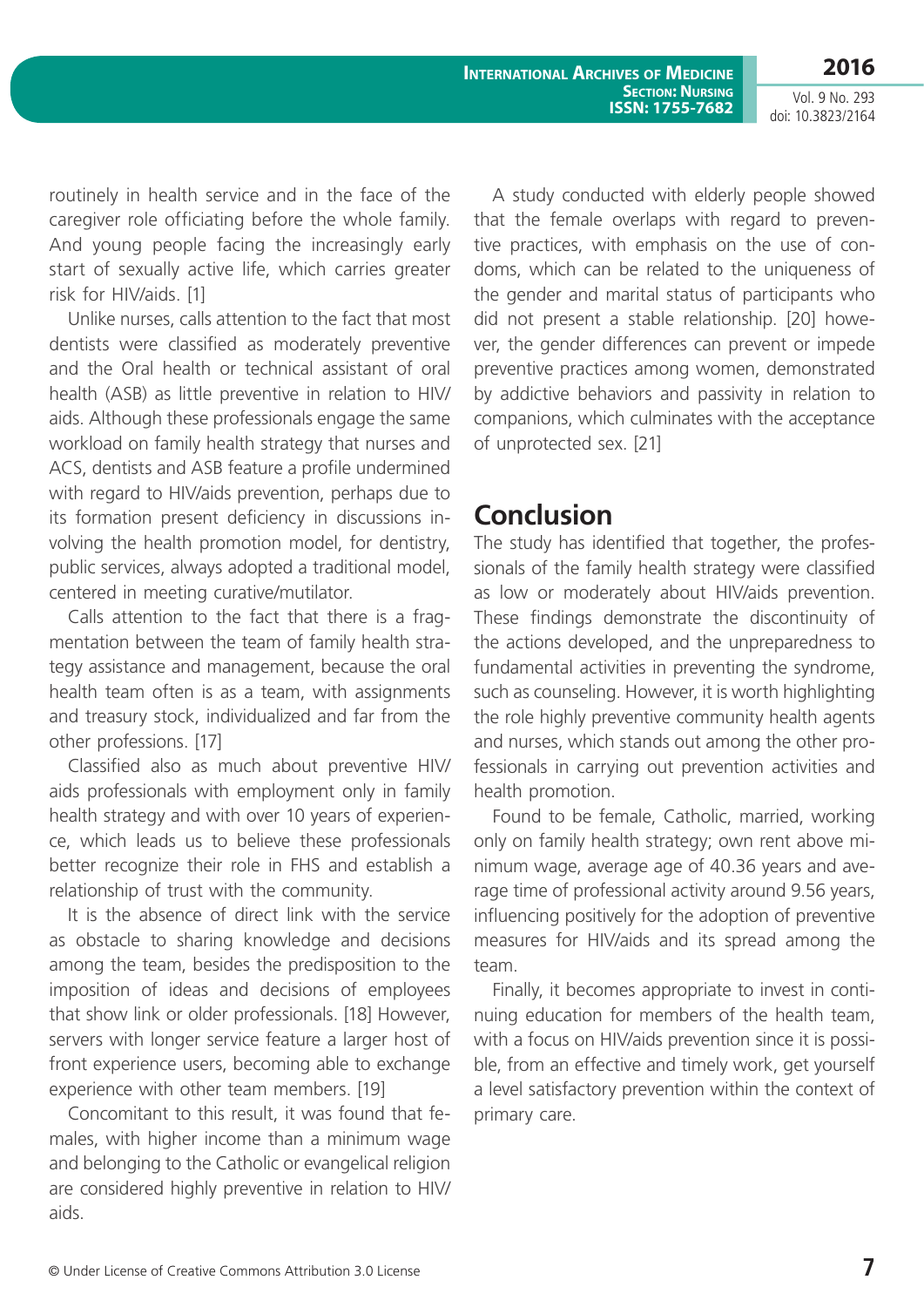**2016**

routinely in health service and in the face of the caregiver role officiating before the whole family. And young people facing the increasingly early start of sexually active life, which carries greater risk for HIV/aids. [1]

Unlike nurses, calls attention to the fact that most dentists were classified as moderately preventive and the Oral health or technical assistant of oral health (ASB) as little preventive in relation to HIV/ aids. Although these professionals engage the same workload on family health strategy that nurses and ACS, dentists and ASB feature a profile undermined with regard to HIV/aids prevention, perhaps due to its formation present deficiency in discussions involving the health promotion model, for dentistry, public services, always adopted a traditional model, centered in meeting curative/mutilator.

Calls attention to the fact that there is a fragmentation between the team of family health strategy assistance and management, because the oral health team often is as a team, with assignments and treasury stock, individualized and far from the other professions. [17]

Classified also as much about preventive HIV/ aids professionals with employment only in family health strategy and with over 10 years of experience, which leads us to believe these professionals better recognize their role in FHS and establish a relationship of trust with the community.

It is the absence of direct link with the service as obstacle to sharing knowledge and decisions among the team, besides the predisposition to the imposition of ideas and decisions of employees that show link or older professionals. [18] However, servers with longer service feature a larger host of front experience users, becoming able to exchange experience with other team members. [19]

Concomitant to this result, it was found that females, with higher income than a minimum wage and belonging to the Catholic or evangelical religion are considered highly preventive in relation to HIV/ aids.

A study conducted with elderly people showed that the female overlaps with regard to preventive practices, with emphasis on the use of condoms, which can be related to the uniqueness of the gender and marital status of participants who did not present a stable relationship. [20] however, the gender differences can prevent or impede preventive practices among women, demonstrated by addictive behaviors and passivity in relation to companions, which culminates with the acceptance of unprotected sex. [21]

#### **Conclusion**

The study has identified that together, the professionals of the family health strategy were classified as low or moderately about HIV/aids prevention. These findings demonstrate the discontinuity of the actions developed, and the unpreparedness to fundamental activities in preventing the syndrome, such as counseling. However, it is worth highlighting the role highly preventive community health agents and nurses, which stands out among the other professionals in carrying out prevention activities and health promotion.

Found to be female, Catholic, married, working only on family health strategy; own rent above minimum wage, average age of 40.36 years and average time of professional activity around 9.56 years, influencing positively for the adoption of preventive measures for HIV/aids and its spread among the team.

Finally, it becomes appropriate to invest in continuing education for members of the health team, with a focus on HIV/aids prevention since it is possible, from an effective and timely work, get yourself a level satisfactory prevention within the context of primary care.